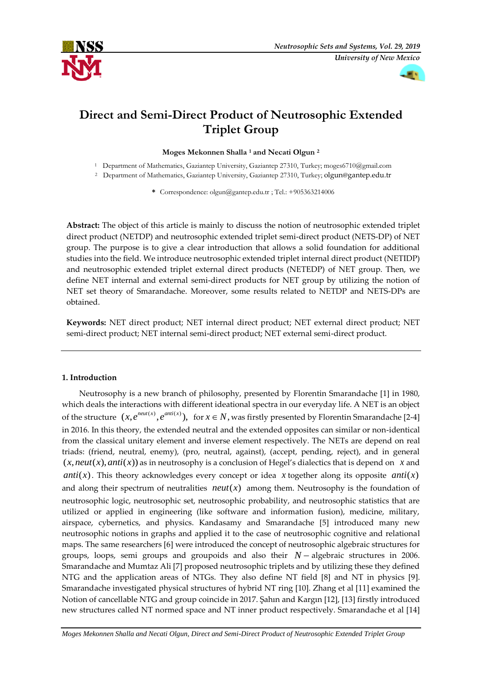



# **Direct and Semi-Direct Product of Neutrosophic Extended Triplet Group**

# **Moges Mekonnen Shalla <sup>1</sup> and Necati Olgun <sup>2</sup>**

<sup>1</sup> Department of Mathematics, Gaziantep University, Gaziantep 27310, Turkey; [moges6710@gmail.com](mailto:moges6710@mail.com)

<sup>2</sup> Department of Mathematics, Gaziantep University, Gaziantep 27310, Turkey; [olgun@gantep.edu.tr](mailto:olgun@gantep.edu.tr)

**\*** Correspondence[: olgun@gantep.edu.tr](mailto:olgun@gantep.edu.tr) ; Tel.: +905363214006

**Abstract:** The object of this article is mainly to discuss the notion of neutrosophic extended triplet direct product (NETDP) and neutrosophic extended triplet semi-direct product (NETS-DP) of NET group. The purpose is to give a clear introduction that allows a solid foundation for additional studies into the field. We introduce neutrosophic extended triplet internal direct product (NETIDP) and neutrosophic extended triplet external direct products (NETEDP) of NET group. Then, we define NET internal and external semi-direct products for NET group by utilizing the notion of NET set theory of Smarandache. Moreover, some results related to NETDP and NETS-DPs are obtained.

**Keywords:** NET direct product; NET internal direct product; NET external direct product; NET semi-direct product; NET internal semi-direct product; NET external semi-direct product.

# **1. Introduction**

Neutrosophy is a new branch of philosophy, presented by Florentin Smarandache [1] in 1980, which deals the interactions with different ideational spectra in our everyday life. A NET is an object of the structure  $(x, e^{neut(x)}, e^{anti(x)})$ , for  $x \in N$ , was firstly presented by Florentin Smarandache [2-4] in 2016. In this theory, the extended neutral and the extended opposites can similar or non-identical from the classical unitary element and inverse element respectively. The NETs are depend on real triads: (friend, neutral, enemy), (pro, neutral, against), (accept, pending, reject), and in general  $(x, neut(x),anti(x))$  as in neutrosophy is a conclusion of Hegel's dialectics that is depend on *x* and  $anti(x)$ . This theory acknowledges every concept or idea x together along its opposite anti(x) and along their spectrum of neutralities  $neut(x)$  among them. Neutrosophy is the foundation of neutrosophic logic, neutrosophic set, neutrosophic probability, and neutrosophic statistics that are utilized or applied in engineering (like software and information fusion), medicine, military, airspace, cybernetics, and physics. Kandasamy and Smarandache [5] introduced many new neutrosophic notions in graphs and applied it to the case of neutrosophic cognitive and relational maps. The same researchers [6] were introduced the concept of neutrosophic algebraic structures for groups, loops, semi groups and groupoids and also their  $N-$  algebraic structures in 2006. Smarandache and Mumtaz Ali [7] proposed neutrosophic triplets and by utilizing these they defined NTG and the application areas of NTGs. They also define NT field [8] and NT in physics [9]. Smarandache investigated physical structures of hybrid NT ring [10]. Zhang et al [11] examined the Notion of cancellable NTG and group coincide in 2017. Şahın and Kargın [12], [13] firstly introduced new structures called NT normed space and NT inner product respectively. Smarandache et al [14]

*Moges Mekonnen Shalla and Necati Olgun, Direct and Semi-Direct Product of Neutrosophic Extended Triplet Group*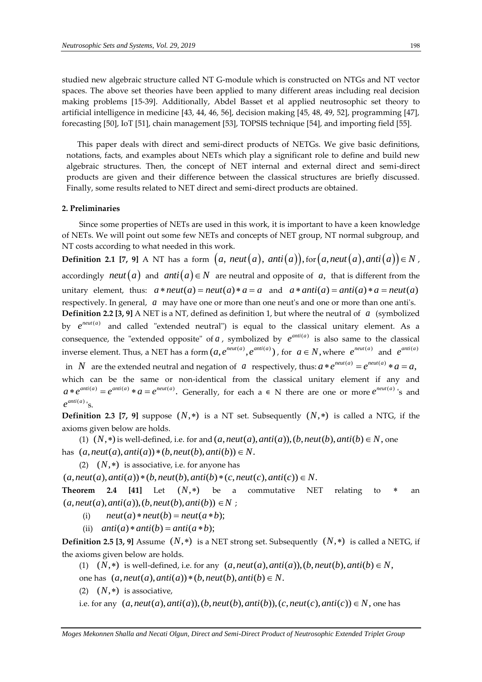studied new algebraic structure called NT G-module which is constructed on NTGs and NT vector spaces. The above set theories have been applied to many different areas including real decision making problems [15-39]. Additionally, Abdel Basset et al applied neutrosophic set theory to artificial intelligence in medicine [43, 44, 46, 56], decision making [45, 48, 49, 52], programming [47], forecasting [50], IoT [51], chain management [53], TOPSIS technique [54], and importing field [55].

 This paper deals with direct and semi-direct products of NETGs. We give basic definitions, notations, facts, and examples about NETs which play a significant role to define and build new algebraic structures. Then, the concept of NET internal and external direct and semi-direct products are given and their difference between the classical structures are briefly discussed. Finally, some results related to NET direct and semi-direct products are obtained.

# **2. Preliminaries**

Since some properties of NETs are used in this work, it is important to have a keen knowledge of NETs. We will point out some few NETs and concepts of NET group, NT normal subgroup, and NT costs according to what needed in this work.

**Definition 2.1** [7, 9] A NT has a form  $(a, neut(a), anti(a)),$  for  $(a, neut(a), anti(a)) \in N$ , accordingly *neut*  $(a)$  and  $anti(a) \in N$  are neutral and opposite of a, that is different from the  $\alpha$  accordingly *neut* (*a*) and *anti* (*a*)  $\in$  *N* are neutral and opposite of *a*, that is different from the unitary element, thus:  $a * \text{neut}(a) = \text{neut}(a) * a = a$  and  $a * \text{anti}(a) = \text{anti}(a) * a = \text{neut}(a)$ respectively. In general, a may have one or more than one neut's and one or more than one anti's. **Definition 2.2 [3, 9]** A NET is a NT, defined as definition 1, but where the neutral of a (symbolized by  $e^{neut(a)}$  and called "extended neutral") is equal to the classical unitary element. As a consequence, the "extended opposite" of  $a$ , symbolized by  $e^{anti(a)}$  is also same to the classical inverse element. Thus, a NET has a form  $(a, e^{neut(a)}, e^{anti(a)})$ , for  $a \in N$ , where  $e^{neut(a)}$  and  $e^{anti(a)}$ in *N* are the extended neutral and negation of *a* respectively, thus:  $a * e^{neut(a)} = e^{neut(a)} * a = a$ , which can be the same or non-identical from the classical unitary element if any and which can be the same or non-identical from the classical unitary element if any and  $a * e^{ant(a)} = e^{ant(a)} * a = e^{neut(a)}$ . Generally, for each  $a \in N$  there are one or more  $e^{neut(a)}$ 's and  $e^{anti(a)}$ 's.

**Definition 2.3** [7, 9] suppose  $(N,*)$  is a NT set. Subsequently  $(N,*)$  is called a NTG, if the axioms given below are holds. ms given below are holds.<br>
(1) (*N*, \*) is well-defined, i.e. for and  $(a, neut(a),anti(a)), (b, neut(b),anti(b) \in N$ , one  $(a, neut(a),anti(a)) * (b, neut(b),anti(b)) \in N$ .

has  $(a,neut(a),anti(a))*(b,neut(b),anti(b)) \in N$ .

(2)  $(N,*)$  is associative, i.e. for anyone has

 $(a, neut(a), anti(a)) * (b, neut(b), anti(b) * (c, neut(c), anti(c)) \in N.$ <br> **Theorem** 2.4 [41] Let  $(N, *)$  be a commutative NET relating **Theorem**  $(N, *)$ be a commutative NET relating to  $\ast$ an **Theorem 2.4 [41]** Let  $(N, *)$  be a<br>  $(a, neut(a),anti(a)), (b, neut(b),anti(b)) \in N ;$ 

- (i)  $neut(a) * neut(b) = neut(a * b);$
- (i)  $neu_1(a) * neu_1(b) = neu_1(a * b);$ <br>(ii)  $anti(a) * anti(b) = anti(a * b);$

**Definition 2.5 [3, 9]** Assume  $(N, *)$  is a NET strong set. Subsequently  $(N, *)$  is called a NETG, if the axioms given below are holds. vioms given below are holds.<br>
(1)  $(N,*)$  is well-defined, i.e. for any  $(a, neut(a),anti(a)), (b, neut(b), anti(b) \in N,$ 

(1)  $(N,*)$  is well-defined, i.e. for any  $(a, neut(a),anti(a))$ <br>one has  $(a, neut(a),anti(a))*(b, neut(b),anti(b)) \in N$ .

(2)  $(N,*)$  is associative,

one has  $(a, neut(a),anti(a)) * (b, neut(b), anti(b) \in N$ .<br>
(2)  $(N, *)$  is associative,<br>
i.e. for any  $(a, neut(a), anti(a)), (b, neut(b), anti(b)), (c, neut(c), anti(c)) \in N$ , one has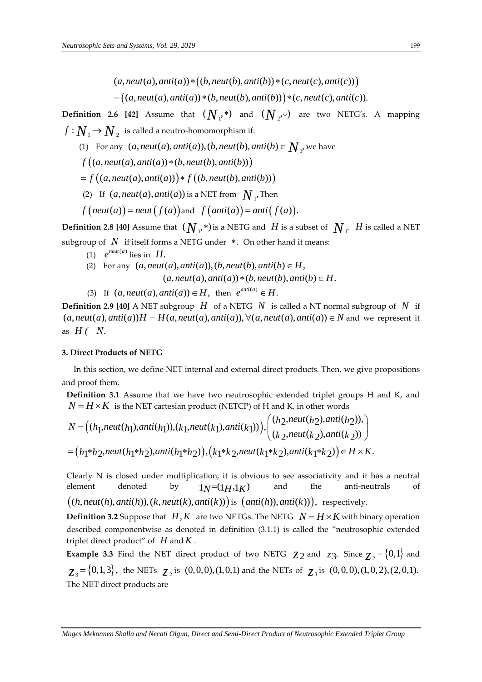- $(a, neut(a), anti(a)) * ((b, neut(b), anti(b)) * (c, neut(c), anti(c))$
- $(a,neut(a),anti(a))*\bigl((b,neut(b),anti(b))*(c,neut(c),anti(c))\bigr) \nonumber \ =\bigl((a,neut(a),anti(a))*\bigl(b,neut(b),anti(b))\bigr) * (c,neut(c),anti(c)).$

**Definition 2.6 [42]** Assume that  $(N_{1},*)$  and  $(N_{2},\circ)$  are two NETG's. A mapping  $f\!:\! \overline{\mathcal{N}}_1 \!\rightarrow\! \overline{\mathcal{N}}_2\;$  is called a neutro-homomorphism if:

- $W_1 \rightarrow N_2$  is called a neutro-homomorphism if:<br>
(1) For any  $(a, neut(a),anti(a)), (b, neut(b),anti(b)) \in N_1$ , we have<br>  $f((a, neut(a),anti(a)) * (b, neut(b),anti(b)))$
- 
- $f\big((a,neut(a),anti(a))*(b,neut(b),anti(b))\big)$ <br>=  $f\big((a,neut(a),anti(a))\big)*f\big((b,neut(b),anti(a))\big)*f$  $((a,neut(a),anti(a))*(b,neut(b),anti(b)))$ <br>f  $((a,neut(a),anti(a))) * f ((b,neut(b),anti(b)))$
- (2) If  $(a, neut(a),anti(a))$  is a NET from  $N_1$ , Then
- $f\left(\text{neut}(a)\right) = \text{neut}\left(f(a)\right)$  and  $f\left(\text{anti}(a)\right) = \text{anti}\left(f(a)\right)$ .

**Definition 2.8 [40]** Assume that  $(N_{_1^1}*$ ) is a NETG and  $|H|$  is a subset of  $|N_{_1^1}|$   $|H|$  is called a NET subgroup of  $|N|$  if itself forms a NETG under  $*$ . On other hand it means:

- (1)  $e^{neut(a)}$  lies in  $H$ .
- (1)  $e^{neut(a)}$  lies in  $H$ .<br>(2) For any  $(a, neut(a),anti(a)), (b, neut(b),anti(b) \in H)$ ,  $(a, neut(a), anti(a)) * (b, neut(b), anti(b) \in H.$
- (3) If  $(a, neut(a), anti(a)) \in H$ , then  $e^{anti(a)} \in H$ .

**Definition 2.9 [40]** A NET subgroup  $H$  of a NETG  $N$  is called a NT normal subgroup of  $N$  if (3) If  $(a, neut(a),anti(a)) \in H$ , then  $e^{anti(a)} \in H$ .<br> **Definition 2.9 [40]** A NET subgroup *H* of a NETG *N* is called a NT normal subgro $(a, neut(a),anti(a))H = H(a, neut(a),anti(a)), \forall (a, neut(a),anti(a)) \in N$  and we  $(a, neut(a),anti(a))H = H(a, neut(a),anti(a)), \forall (a, neut(a),anti(a)) \in N$  and we represent it as  $H($   $N$ .

#### **3. Direct Products of NETG**

 In this section, we define NET internal and external direct products. Then, we give propositions and proof them.

**Definition 3.1** Assume that we have two neutrosophic extended triplet groups H and K, and  $N = H \times K$  is the NET cartesian product (NETCP) of H and K, in other words ic extended triplet groups H and K, and<br>I and K, in other words<br> $\left(\frac{h_2,neut(h_2),anti(h_2))}{h_2}\right)$ 

$$
(a, neutral(a),anti(a)) * (b, neutral(b),anti(b))) * (c, neutral(c),anti(c)))
$$
\n= 
$$
(a, neutral,anti(a)) * (b, neutral(b),anti(b))) * (c, neutral(c),anti(c)).
$$
\nDefinition 2.6 [42] Assume that 
$$
(N_1^*)
$$
 and 
$$
(N_2^*)
$$
 are two NETS's. A mapping 
$$
f: N_1 \rightarrow N_2
$$
 is called a neutron-homomorphism if:\n(I) For any  $(a, neutral, anti(a)), (b, neutral(b), anti(b))$ \n= 
$$
f((a, neutral, anti(a)) * (b, neutral(b)), anti(b)))
$$
\n= 
$$
f((a, neutral, anti(a)) * (b, neutral(b)), anti(b)))
$$
\n(2) If 
$$
(a, neutral, anti(a)) * (b, neutral(b)), anti(b))
$$
\n(3) If 
$$
(a, neutral, anti(a)) * (c, neutral(b), anti(b))
$$
\nDefinition 2.8 [40] Assume that 
$$
(N_1^*, *)
$$
 is a NET from 
$$
N_1
$$
. Then 
$$
f(\text{neut}(a)) = \text{neut } (f(a))
$$
 and 
$$
f(\text{anti}(a)) = \text{antif } f(a)
$$
.\nDefinition 2.8 [40] Assume that 
$$
(N_1^*, *)
$$
 is a NETS and 
$$
H
$$
 is a subset of 
$$
N_1
$$
. 
$$
H
$$
 is called a NE subgroup of 
$$
N
$$
 if itself forms a NETS under \*. On other hand, it is a subset of 
$$
N_1
$$
. 
$$
g(2)
$$
 For any 
$$
(a, neutral, anti(a))
$$
, 
$$
(b, neutral(b), anti(b)) \in H
$$
.\nSolution 2.9 [40] A NET subgroup 
$$
H
$$
 of a NETS 
$$
N
$$
 is called a NT normal subgroup of 
$$
N
$$
 is a 
$$
(a, neutral(a), anti(a)) \in H
$$
, then 
$$
e^{mi(a)} = H
$$
.\nSolution 2.9 [40] A NET subgroup 
$$
H
$$
 of a NETS 
$$
N
$$
 is called a NTS normal subgroup of 
$$
N
$$
 is a 
$$
(a, neutral(b), anti(b)) \cdot \forall (a, neutral(b), anti(b)) \in N
$$
, and we represent a  $$ 

Clearly N is closed under multiplication, it is obvious to see associativity and it has a neutral element denoted by  $1_N=(1_H,1_K)$ and the anti-neutrals of element denoted by  $1_N=(1_H,1_K)$  and the anti-no<br>  $((h,neut(h),anti(h)), (k,neut(k),anti(k)))$  is  $(anti(h)),anti(k)))$ , respectively.

**Definition 3.2** Suppose that  $H, K$  are two NETGs. The NETG  $N = H \times K$  with binary operation described componentwise as denoted in definition (3.1.1) is called the "neutrosophic extended triplet direct product" of *H* and *K* .

**Example 3.3** Find the NET direct product of two NETG  $z_2$  and  $z_3$ . Since  $z_2 = \{0,1\}$  and  $z_3 = \{0,1,3\}$ , the NETs  $z_2$  is  $(0,0,0)$ ,  $(1,0,1)$  and the NETs of  $z_3$  is  $(0,0,0)$ ,  $(1,0,2)$ ,  $(2,0,1)$ . The NET direct products are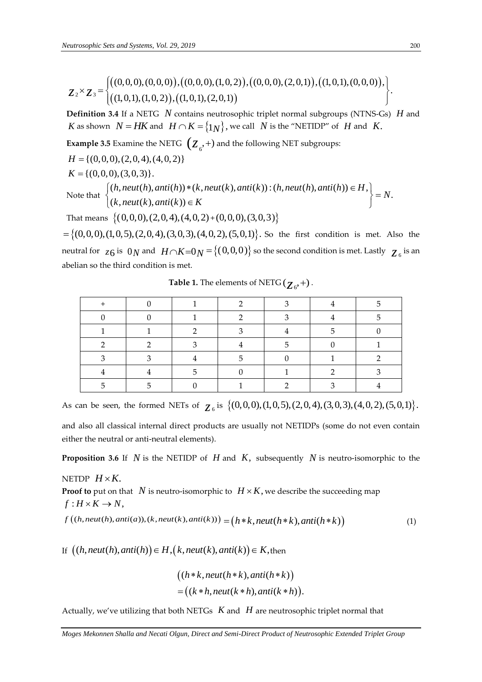Furthermore, *Sets and Systems*, Vol. 29, 2019

\n
$$
Z_{2} \times Z_{3} = \begin{cases} \big( (0,0,0), (0,0,0), (0,0,0), (1,0,2), (0,0,0), (2,0,1), (1,0,1), (0,0,0) \big), \\ \big( (1,0,1), (1,0,2), (1,0,1), (2,0,1) \big) \end{cases}
$$
\nDefinition 3.4. If a NET C, M contains a  
partosophic triplet normal subgroups (NTNS Cs). H and

**Example 3.5** Examine the NETG 
$$
(Z_6^+
$$
) and the following NET subgroups:  
\n $H = \{(0,0,0), (2,0,4), (4,0,2)\}$   
\n $K = \{(0,0,0), (3,0,3)\}.$   
\nNote that  $\{(h, neut(h), anti(h)) * (k, neut(k), anti(k)) : (h, neut(h), anti(h)) \in H, \{(k, neut(k), anti(k)) \in K\}$   
\n $\exists$ 

|                                                                                                                                               |                         |                                                                  |              |                                                   |   | $Z_2 \times Z_3 = \begin{cases} ((0,0,0), (0,0,0)), ((0,0,0), (1,0,2)), ((0,0,0), (2,0,1)), ((1,0,1), (0,0,0)), \\ ((1,0,1), (1,0,2)), ((1,0,1), (2,0,1)) \end{cases}$                                                |              |  |  |  |
|-----------------------------------------------------------------------------------------------------------------------------------------------|-------------------------|------------------------------------------------------------------|--------------|---------------------------------------------------|---|-----------------------------------------------------------------------------------------------------------------------------------------------------------------------------------------------------------------------|--------------|--|--|--|
|                                                                                                                                               |                         |                                                                  |              |                                                   |   |                                                                                                                                                                                                                       |              |  |  |  |
|                                                                                                                                               |                         |                                                                  |              |                                                   |   | <b>Definition 3.4</b> If a NETG $N$ contains neutrosophic triplet normal subgroups (NTNS-Gs) $H$<br><i>K</i> as shown $N = HK$ and $H \cap K = \{1_N\}$ , we call <i>N</i> is the "NETIDP" of <i>H</i> and <i>K</i> . |              |  |  |  |
| <b>Example 3.5</b> Examine the NETG $(Z_6^2, +)$ and the following NET subgroups:                                                             |                         |                                                                  |              |                                                   |   |                                                                                                                                                                                                                       |              |  |  |  |
| $H = \{(0,0,0), (2,0,4), (4,0,2)\}\$                                                                                                          |                         |                                                                  |              |                                                   |   |                                                                                                                                                                                                                       |              |  |  |  |
| $K = \{(0,0,0), (3,0,3)\}.$                                                                                                                   |                         |                                                                  |              |                                                   |   |                                                                                                                                                                                                                       |              |  |  |  |
| Note that $\begin{cases} (h,neut(h),anti(h))* (k,neut(k),anti(k)) : (h,neut(h),anti(h)) \in H, \\ (k,neut(k),anti(k)) \in K \end{cases} = N.$ |                         |                                                                  |              |                                                   |   |                                                                                                                                                                                                                       |              |  |  |  |
|                                                                                                                                               |                         | That means $\{(0,0,0), (2,0,4), (4,0,2) + (0,0,0), (3,0,3)\}$    |              |                                                   |   |                                                                                                                                                                                                                       |              |  |  |  |
|                                                                                                                                               |                         |                                                                  |              |                                                   |   | $=\{(0,0,0), (1,0,5), (2,0,4), (3,0,3), (4,0,2), (5,0,1)\}\.$ So the first condition is met. Also                                                                                                                     |              |  |  |  |
|                                                                                                                                               |                         |                                                                  |              |                                                   |   | neutral for $z_6$ is $0_N$ and $H \cap K = 0_N = \{(0,0,0)\}$ so the second condition is met. Lastly $z_6$ is                                                                                                         |              |  |  |  |
|                                                                                                                                               |                         | abelian so the third condition is met.                           |              |                                                   |   |                                                                                                                                                                                                                       |              |  |  |  |
|                                                                                                                                               |                         |                                                                  |              | <b>Table 1.</b> The elements of NETG $(z_0, +)$ . |   |                                                                                                                                                                                                                       |              |  |  |  |
|                                                                                                                                               | $^+$                    | $\boldsymbol{0}$                                                 | $\mathbf{1}$ | 2                                                 | 3 | 4                                                                                                                                                                                                                     | 5            |  |  |  |
|                                                                                                                                               | $\theta$                | $\theta$                                                         | 1            | 2                                                 | 3 | 4                                                                                                                                                                                                                     | 5            |  |  |  |
|                                                                                                                                               | 1                       | $\mathbf{1}$                                                     | 2            | 3                                                 | 4 | 5                                                                                                                                                                                                                     | $\mathbf{0}$ |  |  |  |
|                                                                                                                                               | $\overline{2}$          | $\overline{2}$                                                   | 3            | 4                                                 | 5 | 0                                                                                                                                                                                                                     | 1            |  |  |  |
|                                                                                                                                               | 3                       | 3                                                                | 4            | 5                                                 | 0 | 1                                                                                                                                                                                                                     | 2            |  |  |  |
|                                                                                                                                               | 4                       | 4                                                                | 5            | $\theta$                                          | 1 | 2                                                                                                                                                                                                                     | 3            |  |  |  |
|                                                                                                                                               | 5                       | 5                                                                | 0            | 1                                                 | 2 | 3                                                                                                                                                                                                                     | 4            |  |  |  |
|                                                                                                                                               |                         |                                                                  |              |                                                   |   | As can be seen, the formed NETs of $\zeta_6$ is $\{ (0,0,0), (1,0,5), (2,0,4), (3,0,3), (4,0,2), (5,0,4), (6,1,0)\}$                                                                                                  |              |  |  |  |
|                                                                                                                                               |                         |                                                                  |              |                                                   |   |                                                                                                                                                                                                                       |              |  |  |  |
|                                                                                                                                               |                         |                                                                  |              |                                                   |   | and also all classical internal direct products are usually not NETIDPs (some do not even cor                                                                                                                         |              |  |  |  |
|                                                                                                                                               |                         | either the neutral or anti-neutral elements).                    |              |                                                   |   |                                                                                                                                                                                                                       |              |  |  |  |
|                                                                                                                                               |                         |                                                                  |              |                                                   |   | <b>Proposition 3.6</b> If $N$ is the NETIDP of $H$ and $K$ , subsequently $N$ is neutro-isomorphic to                                                                                                                 |              |  |  |  |
|                                                                                                                                               | NETDP $H\times K.$      |                                                                  |              |                                                   |   |                                                                                                                                                                                                                       |              |  |  |  |
|                                                                                                                                               |                         |                                                                  |              |                                                   |   | <b>Proof to</b> put on that N is neutro-isomorphic to $H \times K$ , we describe the succeeding map                                                                                                                   |              |  |  |  |
|                                                                                                                                               | $f: H \times K \to N$ , |                                                                  |              |                                                   |   |                                                                                                                                                                                                                       |              |  |  |  |
| $f((h,neut(h),anti(a)), (k,neut(k),anti(k))) = (h*k,neut(h*k),anti(h*k))$                                                                     |                         |                                                                  |              |                                                   |   |                                                                                                                                                                                                                       |              |  |  |  |
|                                                                                                                                               |                         |                                                                  |              |                                                   |   |                                                                                                                                                                                                                       |              |  |  |  |
|                                                                                                                                               |                         | If $((h,neut(h),anti(h)) \in H, (k,neut(k),anti(k)) \in K,$ then |              |                                                   |   |                                                                                                                                                                                                                       |              |  |  |  |
| $((h*k, neut(h*k), anti(h*k))$                                                                                                                |                         |                                                                  |              |                                                   |   |                                                                                                                                                                                                                       |              |  |  |  |
| $=((k*h,neut(k*h),anti(k*h)).$                                                                                                                |                         |                                                                  |              |                                                   |   |                                                                                                                                                                                                                       |              |  |  |  |
|                                                                                                                                               |                         |                                                                  |              |                                                   |   | Actually, we've utilizing that both NETGs $K$ and $H$ are neutrosophic triplet normal that                                                                                                                            |              |  |  |  |
|                                                                                                                                               |                         |                                                                  |              |                                                   |   | Moges Mekonnen Shalla and Necati Olgun, Direct and Semi-Direct Product of Neutrosophic Extended Triplet Group                                                                                                         |              |  |  |  |

**Table 1.** The elements of NETG ( $\mathcal{Z}_{6}$ , +).

$$
((h*k,neut(h*k),anti(h*k))
$$
  
=
$$
((k*h,neut(k*h),anti(k*h)).
$$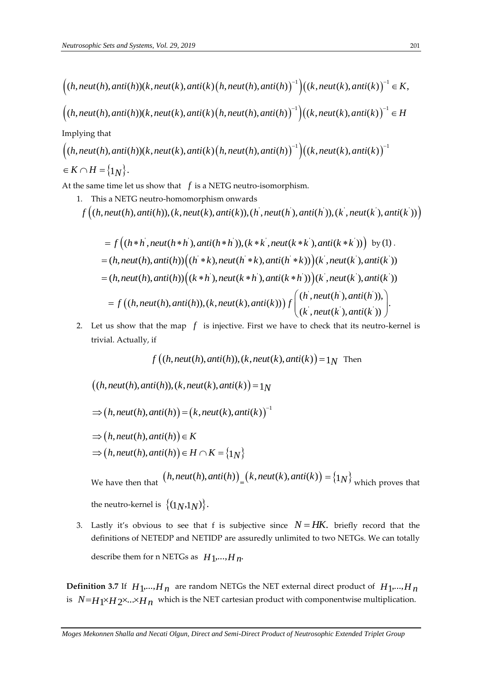*Neutrosophic Sets and Systems, Vol. 29, 2019*\n
$$
\left( (h, neut(h), anti(h))(k, neut(k), anti(k) (h, neut(h), anti(h))^{-1}) \left( (k, neut(k), anti(k))^{-1} \in K, \right. \\
\left. \left( (h, neut(h), anti(h))(k, neut(k), anti(k) (h, neut(h), anti(h))^{-1}) \left( (k, neut(k), anti(k))^{-1} \in H \right) \right. \\
\left. \left. \left( (h, neut(h), anti(h))(k, neut(k), anti(k) (h, neut(h), anti(h))^{-1}) \left( (k, neut(k), anti(k))^{-1} \in H \right) \right) \right) \right) \left. \left. \left( (k, neut(k), anti(k))^{-1} \in H \right) \right) \right) \left. \left( (k, neut(k), anti(k))^{-1} \in H \right) \right) \right) \left. \left( (k, neut(k), anti(k))^{-1} \in H \right) \right) \left. \left( (k, neut(k), anti(k))^{-1} \in H \right) \right) \left. \left( (k, neut(k), anti(k))^{-1} \in H \right) \right) \right) \left. \left( (k, neut(k), anti(k))^{-1} \in H \right) \right) \left. \left( (k, cut(k), anti(k))^{-1} \in H \right) \right) \left. \left( (k, cut(k), anti(k))^{-1} \in H \right) \right) \right) \left. \left( (k, cut(k), anti(k))^{-1} \in H \right) \right) \left. \left( (k, cut(k), anti(k))^{-1} \in H \right) \right) \left. \left( (k, cut(k), anti(k))^{-1} \in H \right) \right) \right) \left. \left( (k, cut(k), anti(k))^{-1} \in H \right) \right) \left. \left( (k, cut(k), anti(k))^{-1} \in H \right) \right) \left. \left( (k, cut(k), anti(k))^{-1} \in H \right) \right) \left. \left( (k, cut(k), anti(k))^{-1} \in H \right) \right) \left. \left( (k, cut(k), anti(k))^{-1} \in H \right) \right) \left. \left( (k, cut(k), anti(k))^{-1} \in H \right) \right) \right) \left. \left( (k, cut(k), anti(k))^{-1} \in H \right) \right) \right) \left. \left( (k, cut(k), anti(k))^{-1} \in H \right) \right) \left. \left( (k, cut(k), anti(k
$$

$$
((h,neut(h),anti(h))(k,neut(k),anti(k)(h,neut(h),anti(h))^{-1})((k,neut(k),anti(k))^{-1} \in H
$$
  
Implying that  

$$
((h,neut(h),anti(h))(k,neut(k),anti(k)(h,neut(h),anti(h))^{-1})((k,neut(k),anti(k))^{-1})
$$

$$
\in K \cap H = \{1_N\}.
$$

At the same time let us show that  $f$  is a NETG neutro-isomorphism.

1. This a NETG neutro-homomorphism onwards  $((h,neut(h),anti(h)), (k,neut(k),anti(k)), (h,neut(h),anti(h)), (k,neut(k),anti(k)))$ ' $H = \{1N\}$ .<br>
Exame time let us show that f is a NETG neutro-isomorphism.<br>
This a NETG neutro-homomorphism onwards<br>  $f((h, neut(h),anti(h)), (k, neut(k),anti(k)), (h^{'}, neut(h^{'}), anti(h^{'})), (k^{'}, neut(k^{'}), anti(k^{'}))$ 

*Moges Mekonnen Shalla and Necati Olgun, Direct and Semi-Direct Product of Neutrosophic Extended Triplet Group* ' ' ' ' ' ' *f h h neut h h anti h h k k neut k k anti k k* ( , ( ), ( )),( , ( ), ( )) by (1) . ' ' ' ' ' ' ( , ( ), ( )) ( ), ( ), ( )) ( , ( ), ( )) *h neut h anti h h k neut h k anti h k k neut k anti k* ' ' ' ' ' ' ( , ( ), ( )) ( ), ( ), ( )) ( , ( ), ( )) *h neut h anti h k h neut k h anti k h k neut k anti k* ' ' ' ' ' ' ( , ( ), ( )), ( , ( ), ( )),( , ( ), ( )) . ( , ( ), ( )) *h neut h anti h f h neut h anti h k neut k anti k f k neut k anti k* 

2. Let us show that the map  $f$  is injective. First we have to check that its neutro-kernel is trivial. Actually, if

if  $f\bigl((h,neut(h),anti(h)),(k,neut(k),anti(k)\bigr)\!=\!1_N$  Then

 $((h, neut(h),anti(h)),(k, neut(k),anti(k)) = 1<sub>N</sub>)$ 

$$
\Rightarrow (h,neut(h),anti(h)) = (k,neut(k),anti(k))^{-1}
$$

 $(h, neut(h), anti(h))$  $h,$ neut $(h),$ anti $(h)$  $\in$   $K$  $\Rightarrow (h, neut(h), anti(h)) \in K$ 

$$
\Rightarrow (h,neut(h),anti(h)) \in K
$$
  

$$
\Rightarrow (h,neut(h),anti(h)) \in H \cap K = \{1_N\}
$$

We have then that  $(h, neut(h),anti(h))_=(k, neut(k),anti(k)) = \{1_N\}$  which proves that the neutro-kernel is  $\{(1_N,1_N)\}\$ .

3. Lastly it's obvious to see that f is subjective since  $N = HK$ . briefly record that the definitions of NETEDP and NETIDP are assuredly unlimited to two NETGs. We can totally describe them for n NETGs as  $H_1$ ,...,  $H_n$ .

**Definition 3.7** If  $H_1$ ,...,  $H_n$  are random NETGs the NET external direct product of  $H_1$ ,...,  $H_n$ is  $N=H_1\times H_2\times\ldots\times H_n$  which is the NET cartesian product with componentwise multiplication.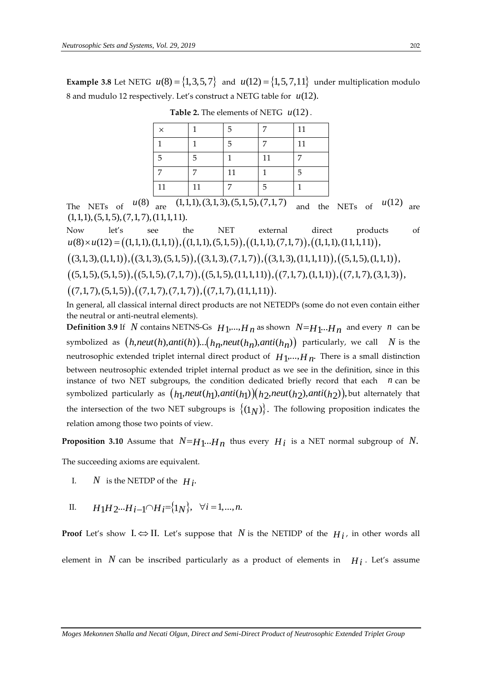**Example 3.8** Let NETG  $u(8) = \{1,3,5,7\}$  and  $u(12) = \{1,5,7,11\}$  under multiplication modulo 8 and mudulo 12 respectively. Let's construct a NETG table for *u*(12).

| $\times$ |    | 5  | 7  | 11 |
|----------|----|----|----|----|
| 1        | 1  | 5  | 7  | 11 |
| 5        | 5  |    | 11 | 7  |
|          |    | 11 |    | 5  |
| 11       | 11 |    | 5  |    |

**Table 2.** The elements of NETG *u*(12).

The NETs of  $u(8)$  are  $(1,1,1), (3,1,3), (5,1,5), (7,1,7)$  and the NETs of  $u(12)$  are  $(1,1,1), (5,1,5), (7,1,7), (11,1,11)$ .<br>
Now let's see the NET external direct products of  $u(8) \times u(12) = ((1,1,1), (1,1,1))$ ,  $((1,1,1), (5,1,5)), ((1,1,1), (7$  $(1,1,1), (5,1,5), (7,1,7), (11,1,11).$ 

Now let's see the NET external direct products of  $u(8) \times u(12) = ((1,1,1),(1,1,1)),((1,1,1),(5,1,5)),((1,1,1),(7,1,7)),((1,1,1),(11,1,1)),$ 1,1,1),(5,1,5),(7,1,7),(11,1,11).<br>
low let's see the NET external direct products  $t(8) \times u(12) = ((1,1,1), (1,1,1)),((1,1,1), (5,1,5)),((1,1,1), (7,1,7)),((1,1,1), (11,1,11)),$ <br>
(3,1,3),(1,1,1)),((3,1,3),(5,1,5)),((3,1,3),(7,1,7)),((3,1,3),(1, (6)<br>  $u(8) \times u(12) = ((1,1,1), (1,1,1)),((1,1,1), (5,1,5))$ <br>
(3,1,3),(1,1,1)),((3,1,3),(5,1,5)),((3,1,3),(7<br>
(5,1,5),(5,1,5)),((5,1,5),(7,1,7)),((5,1,5),( 11,1,11) , (7,1,7),(1,1,1) , (7,1,7),(3,1,3) ,

 $((3,1,3),(1,1,1)),((3,1,3),(5,1,5)),((3,1,3),(7,1,7)),((3,1,3),(11,1,11)),((5,1,5),(1,1,1))$  $(3,1,3), (1,1,1)), ((3,1,3), (5,1,5)), ((3,1,3), (7,1,7)), ((3,1,5), (5,1,5)), ((5,1,5), (7,1,7)), ((5,1,5), (11,1,11)),$ <br>  $(7,1,7), (5,1,5)), ((7,1,7), (7,1,7)), ((7,1,7), (11,1,11)).$ 

 $((5,1,5),(5,1,5)),((5,1,5),(7,1,7)),((5,1,5),(11,1,11)),((7,1,7),(1,1,1)),((7,1,7),(3,1,3)))$ 

 $((7,1,7),(5,1,5)),((7,1,7),(7,1,7)),((7,1,7),(11,1,11)).$ 

In general, all classical internal direct products are not NETEDPs (some do not even contain either the neutral or anti-neutral elements).

**Definition 3.9** If N contains NETNS-Gs  $H_1$ ,...,  $H_n$  as shown  $N=H_1...H_n$  and every n can be symbolized as *h* contains NETNS-Gs  $H_1$ ,...,  $H_n$  as shown *i*  $(h, \text{neut}(h), \text{anti}(h))$ ...  $(h_n, \text{neut}(h_n), \text{anti}(h_n))$ particularly, we call  $\,N$  is the neutrosophic extended triplet internal direct product of  $H_1, ..., H_n$ . There is a small distinction between neutrosophic extended triplet internal product as we see in the definition, since in this instance of two NET subgroups, the condition dedicated briefly record that each *n* can be symbolized particularly as *h h h h h h* 1 1 1 2 2 2 , ( ), ( ) , ( ), ( ) , *neut anti neut anti* but alternately that the intersection of the two NET subgroups is  $\{(1_N)\}$ . The following proposition indicates the relation among those two points of view.

**Proposition 3.10** Assume that  $N=H_1...H_n$  thus every  $H_i$  is a NET normal subgroup of N.

The succeeding axioms are equivalent.

I. *N* is the NETDP of the  $H_i$ .

II. 
$$
H_1H_2...H_{i-1}\cap H_i=\{1_N\}, \forall i=1,...,n.
$$

**Proof** Let's show  $I \Leftrightarrow II$ . Let's suppose that  $N$  is the NETIDP of the  $H_i$ , in other words all element in  $N$  can be inscribed particularly as a product of elements in  $H_i$ . Let's assume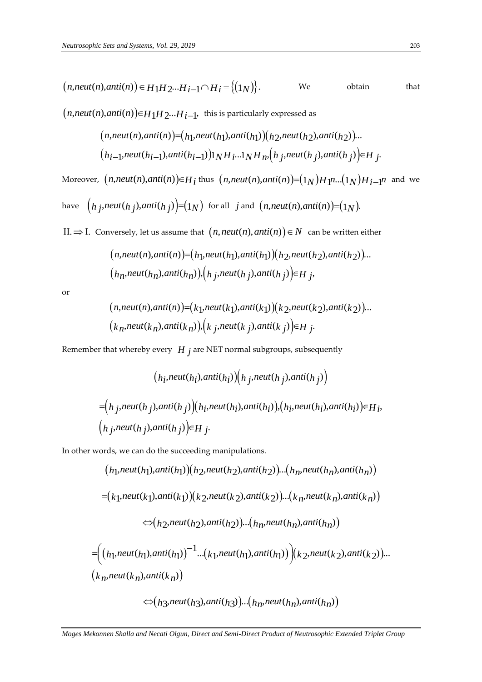$$
(n,neut(n),anti(n)) \in H_1H_2...H_i-1 \cap H_i = \{(1_N)\}.
$$
 We obtain that

 $(n, neut(n), anti(n)) \in H_1 H_2 ... H_{i-1}$ , this is particularly expressed as

a) 
$$
(n, \text{net}(n)) \in H_1 H_2 \cdots H_{i-1}
$$
, this is particularly expressed as  
\n $(n, \text{net}(n), \text{anti}(n)) = (h_1, \text{net}(h_1), \text{anti}(h_1)) (h_2, \text{net}(h_2), \text{anti}(h_2)) \cdots$   
\n $(h_{i-1}, \text{net}(h_{i-1}), \text{anti}(h_{i-1})) (h_i \cdots h_n) H_n, (h_j, \text{net}(h_j), \text{anti}(h_j)) \in H_j.$ 

Moreover,  $(n,neut(n),anti(n)) \in H_i$  thus  $(n,neut(n),anti(n)) = (1_N)H_1n...(1_N)H_i-1$  and we

have 
$$
(h_j
$$
,*neut*( $h_j$ ),*anti*( $h_j$ ) $)=(1_N)$  for all *j* and  $(n$ ,*neut*( $n$ ),*anti*( $n$ )) $=(1_N)$ .

II.  $\Rightarrow$  I. Conversely, let us assume that  $(n, neut(n), anti(n)) \in N$  can be written either

 , ( ), ( ) , ( ), ( ) , ( ), ( ) ... 1 1 1 2 2 2 *n neut n anti n neut anti neut anti h h h h h h* , ( ), ( ) , , ( ), ( ) , *h h h h h h n n n j j j neut anti neut anti <sup>H</sup> <sup>j</sup>* 

or

$$
(n_n, \text{next}(n_n), \text{start}(n_n)), (n_j, \text{next}(n_j), \text{ant}(n_j)) \in H_j,
$$
\n
$$
(n, \text{next}(n), \text{anti}(n)) = (k_1, \text{next}(k_1), \text{anti}(k_1)) (k_2, \text{next}(k_2), \text{anti}(k_2)).
$$
\n
$$
(k_n, \text{next}(k_n), \text{anti}(k_n)), (k_j, \text{next}(k_j), \text{anti}(k_j)) \in H_j.
$$

Remember that whereby every *H j* are NET normal subgroups, subsequently

$$
(h_i,neut(h_i),anti(h_i))\Big(h_j,neut(h_j),anti(h_j)\Big)
$$
  
=
$$
(h_j,neut(h_j),anti(h_j))\Big(h_i,neut(h_i),anti(h_i))\Big)(h_i,neut(h_i),anti(h_i))\in H_j,
$$
  

$$
(h_j,neut(h_j),anti(h_j))\in H_j.
$$

In other words, we can do the succeeding manipulations.

$$
(n,neut(n),anti(n)) \in H_1H_2...H_i-1 \cap H_i = \{(1_N)\}.
$$
 We obtain  
\n
$$
(n,neut(n),anti(n)) \in H_1H_2...H_i-1
$$
, this is particularly expressed as  
\n
$$
(n,neut(n),anti(n)) \in [h_1neut(h_1),anti(h_1)) (h_2neut(h_2),anti(h_2)).
$$
  
\n
$$
(h_i-1,neut(h_i-1),anti(h_i-1))1NH_i...1NH_n.(h_j,neut(h_j),anti(h_j)) \in H_j.
$$
Moreover, 
$$
(n,neut(n),anti(n)) \in H_i
$$
 thus 
$$
(n,neut(n),anti(n)) \in (1_N)Hp...(1_N)H_i...1
$$
 and  
\nhave 
$$
(h_j,neut(h_j),anti(h_j)) \in [1_N)
$$
 for all  $j$  and 
$$
(n,neut(n),anti(n)) \in (1_N).
$$
  
\nII.  $\Rightarrow$  I. Conversely, let us assume that 
$$
(n,neut(n),anti(h_n)) \in N
$$
 can be written either  
\n
$$
(n,neut(n),anti(n)) \in [h_1,neut(h_1),anti(h_1)) (h_2,neut(h_2),anti(h_2)).
$$
  
\n
$$
(h_n,neut(h_n),anti(h_n))
$$
, 
$$
(h_j,neut(h_j),anti(h_j)) \in H_j,
$$
  
\nor  
\n
$$
(n,neut(n),anti(n)) \in [k_1,neut(k_1),anti(k_1)) (k_2,neut(k_2),anti(k_2)).
$$
  
\n
$$
(k_n,neut(h_j),anti(h_j)) (k_j,neut(k_j),anti(h_j)) \in H_j.
$$
  
\nRemember that whereby every  $H_j$  are NET normal subgroups, subsequently  
\n
$$
(h_j,neut(h_j),anti(h_j)) (h_j,neut(h_j),anti(h_j))
$$
  
\n
$$
= (h_j,neut(h_j),anti(h_j)) (h_j,neut(h_j),anti(h_j))
$$
  
\n
$$
= (h_j,neut(h_j),anti(h_j)) (h_j,neut(h_j),anti(h_j))
$$
  
\n
$$
= (h_j,neut(h_j),anti(h_j)) (h_j,neut(h_j),anti(h_j))
$$
  
\n
$$
= (k_1,neut(h_j),anti(h_j)) (k
$$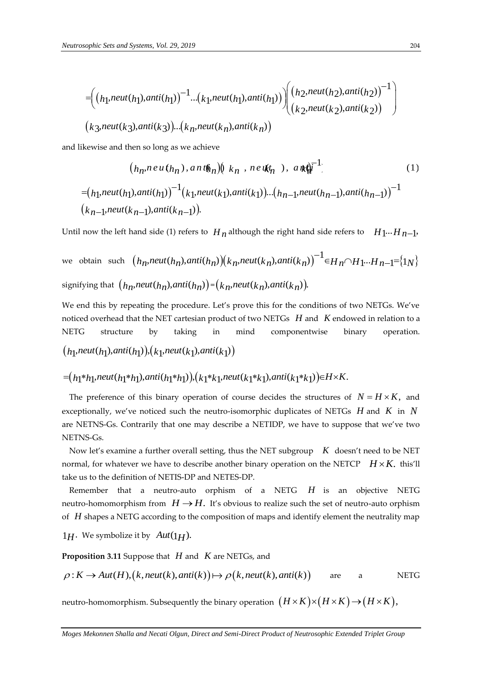$$
= \left( (h_1,neut(h_1),anti(h_1))^{-1}...(k_1,neut(h_1),anti(h_1)) \right) \left( (h_2,neut(h_2),anti(h_2))^{-1} \right)
$$
  

$$
(k_3,neut(k_3),anti(k_3))...(k_n,neut(k_n),anti(k_n))
$$

and likewise and then so long as we achieve

and likewise and then so long as we achieve  
\n
$$
(h_n, n \in u(h_n), a n t \mathbf{w}_n) (\mathbf{k}_n, n \in u(\mathbf{k}_n)), a n \mathbf{k} \mathbf{w}_n^{-1})
$$
\n
$$
= (h_1, \text{neut}(h_1), \text{anti}(h_1))^{-1} (\mathbf{k}_1, \text{neut}(k_1), \text{anti}(k_1)) \dots (\mathbf{k}_{n-1}, \text{neut}(h_{n-1}), \text{anti}(h_{n-1}))^{-1}
$$
\n
$$
(\mathbf{k}_{n-1}, \text{neut}(k_{n-1}), \text{anti}(k_{n-1})).
$$
\n(1)

Until now the left hand side (1) refers to 
$$
H_n
$$
 although the right hand side refers to  $H_1 \cdots H_{n-1}$ ,  
we obtain such  $\left(h_n,neut(h_n),anti(h_n)\right)\left(k_n,neut(k_n),anti(k_n)\right)^{-1} \in H_n \cap H_1 \cdots H_{n-1} = \{1_N\}$   
signifying that  $\left(h_n,neut(h_n),anti(h_n)\right) = \left(k_n,neut(k_n),anti(k_n)\right)$ .

We end this by repeating the procedure. Let's prove this for the conditions of two NETGs. We've noticed overhead that the NET cartesian product of two NETGs *H* and *K* endowed in relation to a NETG structure by taking in mind componentwise binary operation. *h h h h k k h h h h h h h h neut (h<sub>1</sub>)</sub>, <i>anti (h<sub>1</sub>)</sub>*, *neut* (*k<sub>1</sub>)*, *anti* (*k<sub>1</sub>*))  $(h_1, \textit{neut}(h_1), \textit{anti}(h_1)), (k_1, \textit{neut}(k_1), \textit{anti}(k_1))$ <br>= $(h_1 * h_1, \textit{neut}(h_1 * h_1), \textit{anti}(h_1 * h_1)), (k_1 * k_1, \textit{neut}(k_1 * k_1), \textit{anti}(k_1 * k_1)) \in H \times K.$ 

$$
=(h_1 * h_1, \text{neut}(h_1 * h_1), \text{anti}(h_1 * h_1)), (k_1 * k_1, \text{neut}(k_1 * k_1), \text{anti}(k_1 * k_1)) \in H \times K.
$$

The preference of this binary operation of course decides the structures of  $N = H \times K$ , and exceptionally, we've noticed such the neutro-isomorphic duplicates of NETGs *H* and *K* in *N* are NETNS-Gs. Contrarily that one may describe a NETIDP, we have to suppose that we've two NETNS-Gs.

 Now let's examine a further overall setting, thus the NET subgroup *K* doesn't need to be NET normal, for whatever we have to describe another binary operation on the NETCP  $H \times K$ . this'll take us to the definition of NETIS-DP and NETES-DP.

Remember that a neutro-auto orphism of a NETG H is an objective NETG neutro-homomorphism from  $H \rightarrow H$ . It's obvious to realize such the set of neutro-auto orphism of *H* shapes a NETG according to the composition of maps and identify element the neutrality map

 $1H$ . We symbolize it by  $Aut(1H)$ .

**Proposition 3.11** Suppose that *H* and *K* are NETGs, and

**Proposition 3.11** Suppose that *H* and *K* are NETGs, and  
\n
$$
\rho: K \to Aut(H), (k, neut(k), anti(k)) \mapsto \rho(k, neut(k), anti(k))
$$
 are a NETG

neutro-homomorphism. Subsequently the binary operation  $\big(H\times K\big){\times} \big(H\times K\big){\rightarrow} \big(H\times K\big),$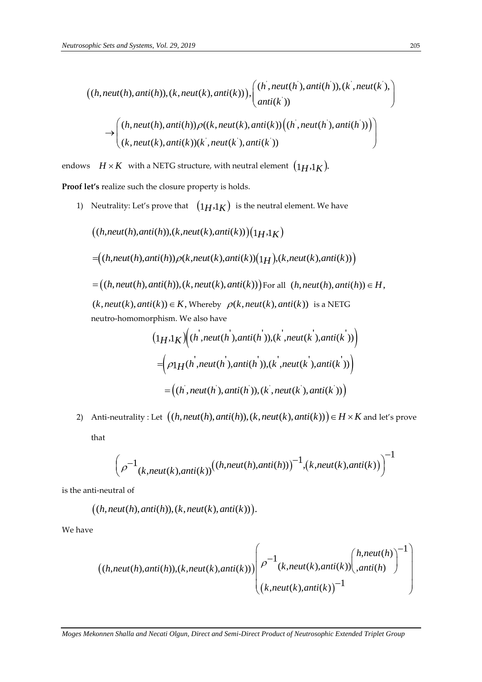$$
((h,neut(h),anti(h)), (k,neut(k),anti(k))), ((h,neut(h'),anti(h')), (k',neut(k'))\n\rightarrow ((h,neut(h),anti(h)), \rho((k,neut(k),anti(k))((h',neut(h'),anti(h')))\n\rightarrow ((k,neut(k),anti(k))(k',neut(k'),anti(k'))((h',neut(h'),anti(h')))\n(k,neut(k),anti(k))(k',neut(k'),anti(k'))
$$

endows  $H \times K$  with a NETG structure, with neutral element  $\left(1_H,1_K\right)$ .

**Proof let's** realize such the closure property is holds.

1) Neutrality: Let's prove that  $(1_H,1_K)$  is the neutral element. We have

 $((h, neut(h),anti(h)), (k, neut(k),anti(k)))(1H<sub>1</sub>K)$  $=\left((h, neut(h),anti(h))\rho(k, neut(k),anti(k))(1_H), (k, neut(k),anti(k))\right)$  $=(h,neut(h),anti(h)),(k,neut(k),anti(k)))$  For all  $(h,neut(h),anti(h)) \in H$ ,  $(k, neut(k),anti(k)) \in K$ , Whereby  $\rho(k, neut(k),anti(k))$  is a NETG neutro-homomorphism. We also have  $\sqrt{a^2-a^2}$   $\sqrt{a^2-a^2}$ bhism. We also have  $1_H.1_K) \Big((h^{'},neut(h^{'}),anti(h^{'})),(k^{'},neut(k^{'}),anti(k^{'}))\Big)$ 

$$
(1_H,1_K)(h,neut(h),anti(h)),(k,neut(k),anti(k)))
$$

$$
= \left(\rho_1H(h',neut(h'),anti(h')), (k',neut(k'),anti(k'))\right)
$$

$$
= \left((h',neut(h'),anti(h')), (k',neut(k'),anti(k'))\right)
$$

2) Anti-neutrality : Let  $((h,neut(h),anti(h)), (k,neut(k),anti(k))) \in H \times K$  and let's prove that

$$
\left(\rho^{-1}_{(k,neut(k),anti(k))}((h,neut(h),anti(h)))^{-1}, (k,neut(k),anti(k))\right)^{-1}
$$

is the anti-neutral of

the 
$$
(h, \text{neutr})
$$
 of

\n $((h, \text{neutr})$ ,  $\text{anti}(h))$ ,  $(k, \text{neutr})$ ,  $\text{anti}(k))$ .

We have

$$
h,neut(n), antu(n)), (k,neut(k), antu(k)))
$$
\n
$$
((h,neut(h), anti(h)), (k,neut(k), anti(k))) \begin{pmatrix} \rho^{-1}(k,neut(k), anti(k)) \begin{pmatrix} h,neut(h) \\ anti(h) \end{pmatrix}^{-1} \begin{pmatrix} h,neut(h) \\ anti(h) \end{pmatrix}^{-1}
$$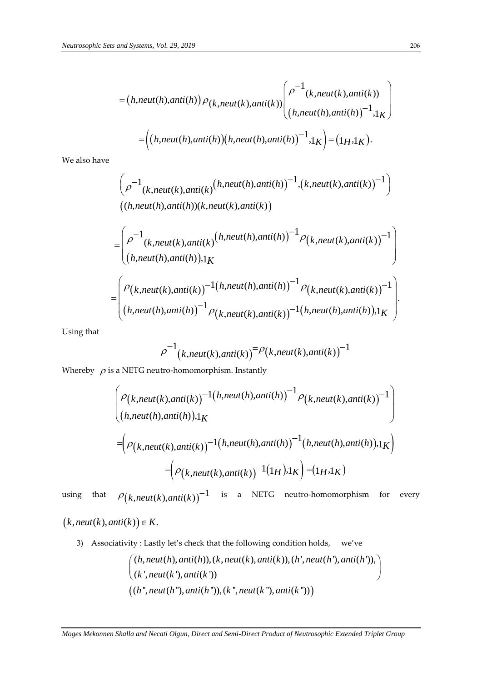$$
= (h,neut(h),anti(h)) \rho_{(k,neut(k),anti(k))} \begin{pmatrix} \rho^{-1}(k,neut(k),anti(k)) \\ (h,neut(h),anti(h))^{-1},1_K \end{pmatrix}
$$

$$
= \left( (h,neut(h),anti(h))(h,neut(h),anti(h))^{-1},1_K \right) = (1_H,1_K).
$$

We also have

$$
\left(\rho^{-1}(k, neut(k),anti(k))\left(h, neut(h),anti(h))\right)^{-1}, (k, neut(k),anti(k))^{-1}\right)
$$
  
\n
$$
=\left(\rho^{-1}(k, neut(h),anti(k))\left(h, neut(k),anti(k)\right)\right)
$$
  
\n
$$
=\left(\rho^{-1}(k, neut(k),anti(k))\left(h, neut(h),anti(h))\right)^{-1}\rho(k, neut(k),anti(k))^{-1}\right)
$$
  
\n
$$
=\left(\rho(k, neut(k),anti(k))\right)^{-1}(k, neut(h),anti(h))^{-1}\rho(k, neut(k),anti(k))^{-1})
$$
  
\n
$$
\left(h, neut(h),anti(h))^{-1}\rho(k, neut(k),anti(k))^{-1}(h, neut(h),anti(h)),1_K\right).
$$

Using that

$$
\rho^{-1}(k,neut(k),anti(k)) = \rho(k,neut(k),anti(k))^{-1}
$$

Whereby  $\rho$  is a NETG neutro-homomorphism. Instantly

is a NETG neutron homomorphism. Instantly  
\n
$$
\begin{pmatrix}\n\rho_{(k,neut(k),anti(k))}^{-1}(h,neut(h),anti(h))^{-1}\rho_{(k,neut(k),anti(k))}^{-1} \\
(h,neut(h),anti(h)),1_K\n\end{pmatrix}
$$
\n
$$
=\left(\rho_{(k,neut(k),anti(k))}^{-1}(h,neut(h),anti(h))^{-1}(h,neut(h),anti(h)),1_K)\right)
$$
\n
$$
=\left(\rho_{(k,neut(k),anti(k))}^{-1}(1_H),1_K\right) = (1_H,1_K)
$$

using that  $P(k, neut(k),anti(k))$ <sup>-1</sup> is a NETG neutro-homomorphism for every

$$
(k,neut(k),anti(k)) \in K.
$$

3) Associativity : Lastly let's check that the following condition holds, we've

$$
P(\text{vity}: \text{Lastly let's check that the following condition holds, we've}
$$
\n
$$
\left(\begin{array}{c}\n(h, neut(h),anti(h)), (k, neut(k),anti(k)), (h', neut(h'),anti(h')), \\
(k', neut(k'),anti(k'))\n\end{array}\right)
$$
\n
$$
\left(\begin{array}{c}\n(h", neut(h"),anti(h"))\end{array}\right), (k", neut(k"),anti(k"))\right)
$$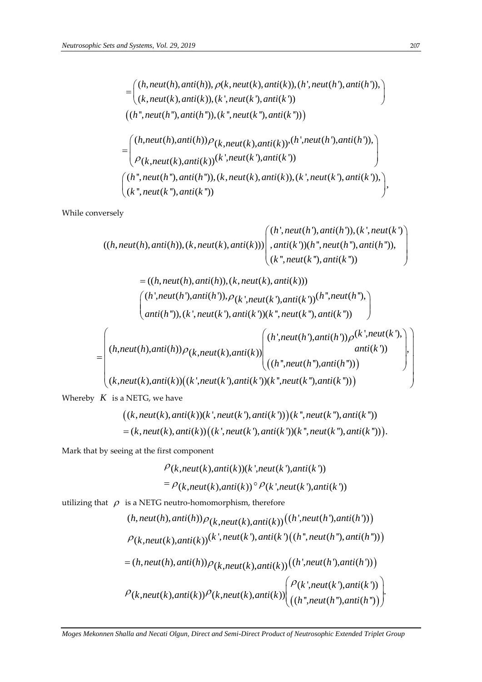$$
= \begin{pmatrix} (h, neut(h),anti(h)), \rho(k, neut(k),anti(k)), (h', neut(h'),anti(h')), \\ (k, neut(k),anti(k)), (k', neut(k'),anti(k')) \end{pmatrix}
$$
  
\n
$$
= \begin{pmatrix} (h'', neut(h"),anti(h")), (k'', neut(k"),anti(k")) ) \\ (h, neut(h),anti(h)) \rho(k, neut(k),anti(k)) & (h',neut(h'),anti(h')), \\ \rho(k, neut(k),anti(k)) & (k',neut(k'),anti(k')) \end{pmatrix}
$$
  
\n
$$
\begin{pmatrix} (h'', neut(h"),anti(h")), (k, neut(k),anti(k)), (k', neut(k'),anti(k')), \\ (k'', neut(k"),anti(k")) \end{pmatrix}), \end{pmatrix}
$$

While conversely

$$
((\kappa, \text{neut}(\kappa), \text{anti}(\kappa)))
$$
\n
$$
((h, \text{neut}(h), \text{anti}(h)), (k, \text{neut}(k), \text{anti}(k))) \left( \begin{array}{l} (h', \text{neut}(h'), \text{anti}(h')), (k', \text{neut}(k')) \\ \text{unit}(k')) (h'', \text{neut}(h''), \text{anti}(h'')), \end{array} \right)
$$
\n
$$
(k'', \text{neut}(k''), \text{anti}(k''))
$$

$$
(k", neut(k"),anti(k"))
$$
  
\n
$$
= ((h, neut(h),anti(h)), (k, neut(k),anti(k)))
$$
  
\n
$$
(h', neut(h'),anti(h')), \rho_{k',neut(k'),anti(k'))}(h",neut(h"),
$$
  
\n
$$
(anti(h"))
$$
,  $(k', neut(k'),anti(k'))(k",neut(k"),anti(k"))$   
\n
$$
(h,neut(h),anti(h))) \rho_{k,neut(k),anti(k)})
$$
  
\n
$$
(h",neut(h'),anti(h')) \rho_{k,neut(k),anti(k)})
$$
  
\n
$$
(h",neut(h"),anti(h'))
$$
  
\n
$$
(h",neut(h"),anti(h"))
$$

$$
= \begin{pmatrix} (h,neut(h),anti(h))\rho_{k,neut(k),anti(k)}) \begin{pmatrix} (h',neut(h'),anti(h'))\rho^{(k',neut(k'),}) \\ anti(k')) \end{pmatrix} \\ (k,neut(k),anti(k)) \begin{pmatrix} (k',neut(k'),anti(h''),anti(h'')) \end{pmatrix} \end{pmatrix}
$$

Whereby *K* is a NETG, we have

$$
u(x), u(x), (x), u(x), u(x), u(x), u(x), u(x), u(x), u(x))
$$
\n
$$
u(\mathbf{k}, \mathbf{u}(\mathbf{k}), \mathbf{u}(\mathbf{k})) = (k, \mathbf{u}(\mathbf{k}), \mathbf{u}(\mathbf{k})) \Big( k^*, \mathbf{u}(\mathbf{k}^*) \Big) \Big) (k^*, \mathbf{u}(\mathbf{k}^*) \Big) = (k, \mathbf{u}(\mathbf{k}), \mathbf{u}(\mathbf{k})) \Big( (k^*, \mathbf{u}(\mathbf{k}), \mathbf{u}(\mathbf{k}^*) \Big) (k^*, \mathbf{u}(\mathbf{k}^*) \Big) \Big).
$$

Mark that by seeing at the first component

$$
\rho(k, neut(k),anti(k))(k', neut(k'),anti(k'))
$$
  
=  $\rho(k, neut(k),anti(k)) \circ \rho(k', neut(k'),anti(k'))$ 

utilizing that  $\,\,\rho\,\,$  is a NETG neutro-homomorphism, therefore

$$
F(k,neut(k),\text{ann}(k)) \rightarrow (k,neut(k),\text{ann}(k))
$$
\nis a NETG neutron-homomorphism, therefore  
\n
$$
(h,neut(h),\text{anti}(h)) \rho_{(k,neut(k),\text{anti}(k))}((h',neut(h'),\text{anti}(h')))
$$
\n
$$
\rho_{(k,neut(k),\text{anti}(k))}(k',neut(k'),\text{anti}(k')((h'',neut(h''),\text{anti}(h')))
$$
\n
$$
= (h,neut(h),\text{anti}(h)) \rho_{(k,neut(k),\text{anti}(k))}((h',neut(h'),\text{anti}(h')))
$$
\n
$$
\rho_{(k,neut(k),\text{anti}(k))} \rho_{(k,neut(k),\text{anti}(k))}(\rho_{(k',neut(k'),\text{anti}(h''))})
$$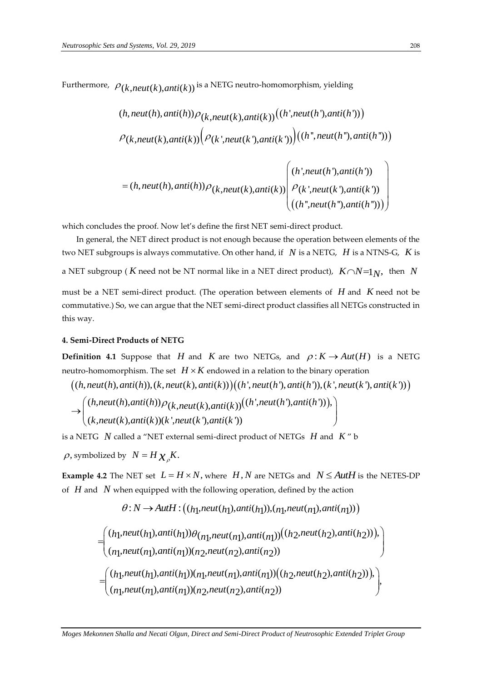Furthermore, 
$$
\rho_{(k,neut(k),anti(k))}
$$
 is a NETG neutron-homomorphism, yielding  
\n
$$
(h,neut(h),anti(h))\rho_{(k,neut(k),anti(k))}((h',neut(h'),anti(h')))
$$
\n
$$
\rho_{(k,neut(k),anti(k))}(\rho_{(k',neut(k'),anti(k'))})((h'',neut(h"),anti(h')))
$$
\n
$$
= (h,neut(h),anti(h))\rho_{(k,neut(k),anti(k))}(\rho_{(k',neut(k'),anti(k'))})
$$
\n
$$
((h'',neut(h'),anti(h')))
$$
\n
$$
((h'',neut(h''),anti(h'')))
$$

$$
= (h,neut(h),anti(h))\rho_{(k,neut(k),anti(k))})\begin{pmatrix} (h,neut(h),ani(h)) \\ \rho_{(k',neut(k'),anti(k'))} \\ ((h'',neut(h''),anti(h'')) \end{pmatrix}
$$

which concludes the proof. Now let's define the first NET semi-direct product.

 In general, the NET direct product is not enough because the operation between elements of the two NET subgroups is always commutative. On other hand, if N is a NETG, H is a NTNS-G, K is a NET subgroup (  $K$  need not be NT normal like in a NET direct product),  $K \cap N = 1_N$ , then N must be a NET semi-direct product. (The operation between elements of *H* and *K* need not be commutative.) So, we can argue that the NET semi-direct product classifies all NETGs constructed in

# **4. Semi-Direct Products of NETG**

this way.

**Definition 4.1** Suppose that *H* and *K* are two NETGs, and  $\rho: K \to Aut(H)$  is a NETG neutro-homomorphism. The set  $|H \times K|$  endowed in a relation to the binary operation (inition 4.1 Suppose that *H* and *K* are two NETGs, and  $\rho: K \to Aut(H)$  is a NI tro-homomorphism. The set  $H \times K$  endowed in a relation to the binary operation  $(h, neut(h),anti(h)), (k, neut(k),anti(k)))((h', neut(h'),anti(h')), (k', neut(k'),anti(k'))))$ b-homomorphism. The set  $H \times K$  endowed in a relation to the binary operation<br>  $h, neut(h),anti(h)), (k, neut(k),anti(k))) \Big( (h', neut(h'),anti(h')), (k', neut(k'),anti(k')) \Big)$ <br>  $\Big( (h, neut(h),anti(h)) \rho_{k,neut(k),anti(k)}) \Big( (h', neut(h'),anti(h')) \Big)$ 

 $((h,neut(h),anti(h)), (k,neut(k),anti(k)))((h',neut(h'),anti(h')), (k',neut(k'),anti(k'))))$ 

$$
u(t) = \frac{1}{2} \int_{-\infty}^{\infty} \int_{-\infty}^{\infty} \int_{-\infty}^{\infty} \int_{-\infty}^{\infty} \int_{-\infty}^{\infty} \int_{-\infty}^{\infty} \int_{-\infty}^{\infty} \int_{-\infty}^{\infty} \int_{-\infty}^{\infty} \int_{-\infty}^{\infty} \int_{-\infty}^{\infty} \int_{-\infty}^{\infty} \int_{-\infty}^{\infty} \int_{-\infty}^{\infty} \int_{-\infty}^{\infty} \int_{-\infty}^{\infty} \int_{-\infty}^{\infty} \int_{-\infty}^{\infty} \int_{-\infty}^{\infty} \int_{-\infty}^{\infty} \int_{-\infty}^{\infty} \int_{-\infty}^{\infty} \int_{-\infty}^{\infty} \int_{-\infty}^{\infty} \int_{-\infty}^{\infty} \int_{-\infty}^{\infty} \int_{-\infty}^{\infty} \int_{-\infty}^{\infty} \int_{-\infty}^{\infty} \int_{-\infty}^{\infty} \int_{-\infty}^{\infty} \int_{-\infty}^{\infty} \int_{-\infty}^{\infty} \int_{-\infty}^{\infty} \int_{-\infty}^{\infty} \int_{-\infty}^{\infty} \int_{-\infty}^{\infty} \int_{-\infty}^{\infty} \int_{-\infty}^{\infty} \int_{-\infty}^{\infty} \int_{-\infty}^{\infty} \int_{-\infty}^{\infty} \int_{-\infty}^{\infty} \int_{-\infty}^{\infty} \int_{-\infty}^{\infty} \int_{-\infty}^{\infty} \int_{-\infty}^{\infty} \int_{-\infty}^{\infty} \int_{-\infty}^{\infty} \int_{-\infty}^{\infty} \int_{-\infty}^{\infty} \int_{-\infty}^{\infty} \int_{-\infty}^{\infty} \int_{-\infty}^{\infty} \int_{-\infty}^{\infty} \int_{-\infty}^{\infty} \int_{-\infty}^{\infty} \int_{-\infty}^{\infty} \int_{-\infty}^{\infty} \int_{-\infty}^{\infty} \int_{-\infty}^{\infty} \int_{-\infty}^{\infty} \int_{-\
$$

is a NETG  $\,N\,$  called a "NET external semi-direct product of NETGs  $\,H\,$  and  $\,K\,$ " b

 $\rho$ , symbolized by  $N = H \chi_{\rho} K$ .

**Example 4.2** The NET set  $L = H \times N$ , where  $H, N$  are NETGs and  $N \leq AutH$  is the NETES-DP

of *H* and *N* when equipped with the following operation, defined by the action  
\n
$$
\theta: N \to \text{Aut}H: ((h_1, \text{neut}(h_1), \text{anti}(h_1)), (n_1, \text{neut}(n_1), \text{anti}(n_1)))
$$
\n
$$
= \begin{pmatrix} (h_1, \text{neut}(h_1), \text{anti}(h_1)) \theta_{(n_1, \text{neut}(n_1), \text{anti}(n_1))}((h_2, \text{neut}(h_2), \text{anti}(h_2))) \text{,} \\ (n_1, \text{neut}(n_1), \text{anti}(n_1)) (n_2, \text{neut}(n_2), \text{anti}(n_2)) \end{pmatrix}
$$
\n
$$
= \begin{pmatrix} (h_1, \text{neut}(h_1), \text{anti}(h_1)) (n_1, \text{neut}(n_1), \text{anti}(n_1)) ((h_2, \text{neut}(h_2), \text{anti}(h_2))) \text{,} \\ (n_1, \text{neut}(n_1), \text{anti}(n_1)) (n_2, \text{neut}(n_2), \text{anti}(n_2)) \end{pmatrix},
$$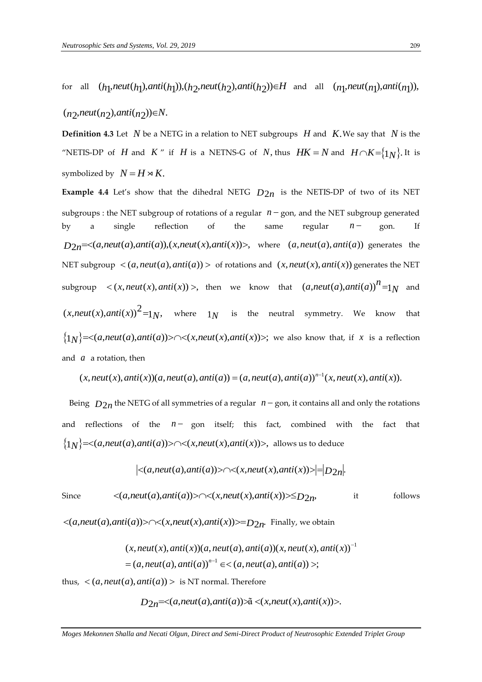for all ( h<sub>1</sub>, neut( h<sub>1</sub>), anti( h<sub>1</sub>)),( h  $_2$ , neut( h  $_2$ ), anti( h  $_2$ ))∈H and all  $(n_1, \text{neut}(n_1), \text{anti}(n_1)),$ 

 $(n_2, \textit{neut}(n_2), \textit{anti}(n_2)) \in N$ .

**Definition 4.3** Let  $N$  be a NETG in a relation to NET subgroups  $H$  and  $K$ . We say that  $N$  is the "NETIS-DP of *H* and *K*" if *H* is a NETNS-G of *N*, thus  $HK = N$  and  $H \cap K = \{1_N\}$ . It is symbolized by  $N = H \rtimes K$ .

**Example 4.4** Let's show that the dihedral NETG  $D_{2n}$  is the NETIS-DP of two of its NET subgroups : the NET subgroup of rotations of a regular  $n - g$ on, and the NET subgroup generated by a single reflection of the same regular  $n - g$ on. If by a single reflection of the same regular  $n-$  gon. If  $D_{2n} = \langle (a, neut(a), anti(a)), (x, neut(x), anti(x)) \rangle$ , where  $(a, neut(a), anti(a))$  generates the NET subgroup  $\langle (a, neut(a),anti(a)) \rangle$  of rotations and  $(x, neut(x), anti(x))$  generates the NET  $\text{subgroup} \quad \langle (x, \text{neut}(x), \text{anti}(x)) \rangle$ , then we know that  $(a, \text{neut}(a), \text{anti}(a))^n = 1_N$  and  $(x, neut(x), anti(x))<sup>2</sup>=1<sub>N</sub>$ , where  $1<sub>N</sub>$  is the neutral symmetry. We know that  $(x, neut(x), anti(x))^{2} = 1_N$ , where  $1_N$  is the neutral symmetry. We know that  $\{1_N\} = \langle (a, neut(a), anti(a)) \rangle \cap \langle (x, neut(x), anti(x)) \rangle$ ; we also know that, if *x* is a reflection and *a* a rotation, then  $(x, neut(x), anti(x))(a, neut(a), anti(a)) = (a, neut(a), anti(a))^{n-1}(x, neut(x), anti(x)).$ and *a* a rotation, then

$$
x
$$
, $neut(x)$ , $anti(x)$  $(a$ , $neut(a)$ , $anti(a)$  $) = (a$ , $neut(a)$ , $anti(a)$  $)n-1(x$ , $neut(x)$ , $anti(x)$  $).$ 

Being  $D_{2n}$  the NETG of all symmetries of a regular  $n -$ gon, it contains all and only the rotations and reflections of the  $n -$  gon itself; this fact, combined with the fact that and reflections of the  $n-$  gon itself; this fact, combined with  $\{1_N\}=<(a,neut(a),anti(a))><\frown<(x,neut(x),anti(x))>$ , allows us to deduce  $|\langle (a,neut(a),anti(a))><\frown<(x,neut(x),anti(x))>\fceil=|D_{2n}|.$ 

$$
|<(a,neut(a),anti(a))>\frown<(x,neut(x),anti(x))>=|D_{2n}|.
$$

Since  $\langle (a, \text{neut}(a), \text{anti}(a)) \rangle \land \langle (x, \text{neut}(x), \text{anti}(x)) \rangle \le D_{2n}$ it follows

since 
$$
\langle (a,neu(a),\text{anti}(a)) \rangle \rightarrow \langle (x,neu(x),\text{anti}(x)) \rangle \leq D_{2n},
$$
  
\n $\langle (a,neut(a),\text{anti}(a)) \rangle \land \langle (x,\text{neut}(x),\text{anti}(x)) \rangle = D_{2n}.$  Finally, we obtain  
\n $(x,\text{neut}(x),\text{anti}(x))(a,\text{neut}(a),\text{anti}(a))(x,\text{neut}(x),\text{anti}(x))^{-1}$   
\n $= (a,\text{neut}(a),\text{anti}(a))^{n-1} \in \langle (a,\text{neut}(a),\text{anti}(a)) \rangle;$ 

thus,  $\langle (a, neut(a), anti(a)) \rangle$  is NT normal. Therefore<br>  $D_{2n} = \langle (a, neut(a), anti(a)) \rangle \tilde{a} \langle (x, neut(x), anti(x)) \rangle.$ 

$$
D_{2n} = \langle a, \text{neut}(a), \text{anti}(a) \rangle \ge \tilde{a} \langle x, \text{neut}(x), \text{anti}(x) \rangle.
$$

*Moges Mekonnen Shalla and Necati Olgun, Direct and Semi-Direct Product of Neutrosophic Extended Triplet Group*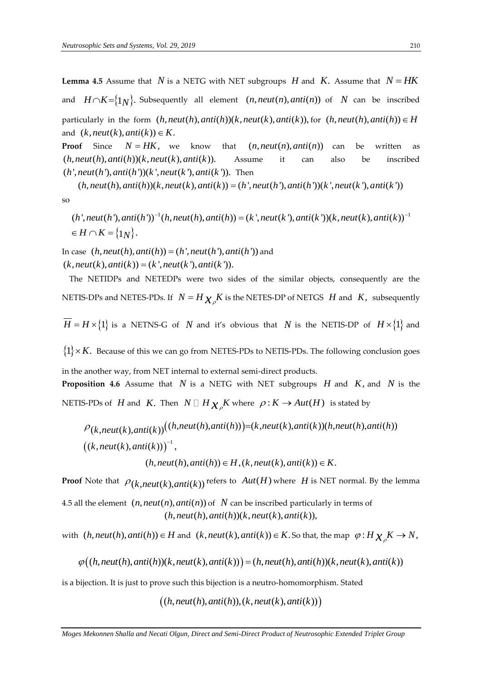**Lemma 4.5** Assume that  $N$  is a NETG with NET subgroups  $H$  and  $K$ . Assume that  $N = HK$ and  $H \cap K = \{1_N\}$ . Subsequently all element  $(n, neut(n),anti(n))$  of N can be inscribed particularly in the form  $(h, neut(h),anti(h))(k, neut(k),anti(k)),$  for  $(h, neut(h),anti(h)) \in H$ and  $(k, neut(k),anti(k)) \in K$ .

**Proof** Since  $N = HK$ , know that  $(n, neut(n), anti(n))$ can be written as  $(h, neut(h),anti(h))(k, neut(k),anti(k)).$ Assume it can also be inscribed  $(h, neut(h),anti(h))(k, neut(k),anti(k)).$  Assure  $(h', neut(h'),anti(h'))(k', neut(k'),anti(k'))$ . Then

 $(h, neut(h),anti(h))(k, neut(k),anti(k)) = (h', neut(h'),anti(h'))(k', neut(k'),anti(k'))$ so (*h*, *neut*(*h*), anti(*h*))(*k*, *neut*(*k*), anti(*k*)). Then<br>
(*h*, *neut*(*h*), anti(*h*))(*k*, *neut*(*k*), anti(*k*)) = (*h*', *neut*(*h*'), anti(*h*'))(*k*', *neut*(*k*'), anti(*k*'))<br>
(*h*', *neut*(*h*'), anti(*h*  $(h, neut(h), anti(h)) = (k', neut(k'), anti(k')) (k, neut(k), anti(k))^{-1}$ 

 $\{1_N\}.$ *H*  $\cap$  *K* = {1*N*<br>*H*  $\cap$  *K* = {1*N* (*h*', *neut*(*h*'), *anti*(*h*'))<sup>-1</sup>(*d*<br>  $\in H \cap K = \{1_N\}.$ 

 $\in H \cap K = \{1_N\}.$ <br>In case  $(h, neut(h), anti(h)) = (h', neut(h'), anti(h'))$  and  $(k, neut(k), anti(k)) = (k', neut(k'), anti(k')).$ 

 The NETIDPs and NETEDPs were two sides of the similar objects, consequently are the NETIS-DPs and NETES-PDs. If  $N = H \chi_{\rho} K$  is the NETES-DP of NETGS  $H$  and  $K$ , subsequently

 $H = H \times \{1\}$  is a NETNS-G of N and it's obvious that N is the NETIS-DP of  $H \times \{1\}$  and

 $\{1\} \times K$ . Because of this we can go from NETES-PDs to NETIS-PDs. The following conclusion goes in the another way, from NET internal to external semi-direct products. **Proposition 4.6** Assume that  $N$  is a NETG with NET subgroups  $H$  and  $K$ , and  $N$  is the

NETIS-PDs of H and K. Then  $N \square H \chi_{\rho} K$  where  $\rho: K \to Aut(H)$  is stated by

S-PDs of *H* and *K*. Then 
$$
N \square H_{\mathcal{X}_{\rho}} K
$$
 where  $\rho : K \rightarrow Aut(H)$  is stated by  
\n
$$
\rho_{(k,neut(k),anti(k))}((h,neut(h),anti(h)))=(k,neut(k),anti(k))(h,neut(h),anti(h))
$$
\n
$$
((k,neut(k),anti(k)))^{-1},
$$
\n
$$
(h,neut(h),anti(h)) \in H, (k,neut(k),anti(k)) \in K.
$$

**Proof** Note that  $\rho_{(k,neut(k),anti(k))}$  refers to  $Aut(H)$  where H is NET normal. By the lemma

4.5 all the element  $(n, neut(n),anti(n))$  of  $N$  can be inscribed particularly in terms of  $(h, neut(h),anti(h))(k, neut(k),anti(k)),$ 

with  $(h,neut(h),anti(h)) \in H$  and  $(k,neut(k),anti(k)) \in K$ . So that, the map  $\varphi: H \chi_{\rho} K \to N$ , (*h*, *neut*(*h*), anti(*h*))  $\in$  *H* and (*k*, *neut*(*k*), anti(*k*))  $\in$  *K*. So that, the map  $\varphi$  : *H*  $\chi_{\rho}$ *K*  $\rightarrow$ <br> $\varphi$ ((*h*, *neut*(*h*), anti(*h*))(*k*, *neut*(*k*), anti(*k*))) = (*h*, *neut*(*h*), anti(

is a bijection. It is just to prove such this bijection is a neutro-homomorphism. Stated

 $((h, neut(h),anti(h)),(k, neut(k),anti(k)))$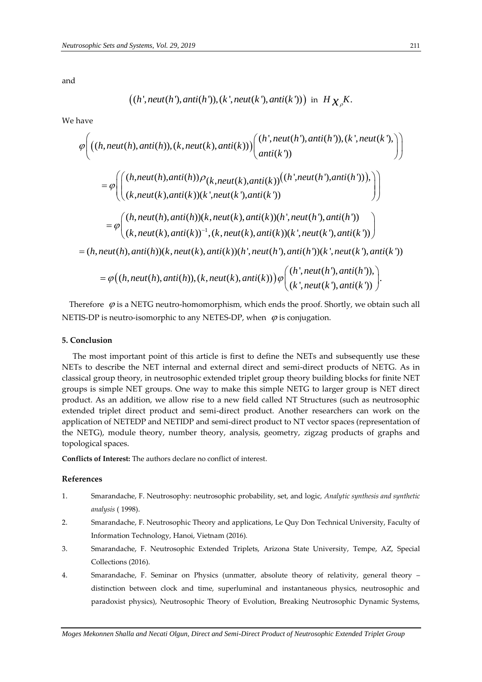and

$$
((h',\text{neut}(h'),\text{anti}(h')), (k',\text{neut}(k'),\text{anti}(k')))
$$
 in  $H_{\mathcal{X}_{\rho}}K$ .

We have

$$
((h',neut(h'),anti(h')), (k',neut(k'),anti(k'))) in H_{\chi_{\rho}}K.
$$
  
have  

$$
\varphi \Big( ((h,neut(h),anti(h)), (k,neut(k),anti(k))) \Big( \begin{matrix} (h',neut(h'),anti(h')), (k',neut(k'),\\ anti(k')) \end{matrix}) \Big) \\ = \varphi \Big( \Big( \begin{matrix} (h,neut(h),anti(h)) \rho_{(k,neut(k),anti(k))} ((h',neut(h'),anti(h'))),\\ (k,neut(k),anti(k))(k',neut(k'),anti(k')) \end{matrix} \Big) \Big) \\ = \varphi \Big( (h,neut(h),anti(h))(k,neut(k),anti(k))(h',neut(h'),anti(h')) ) \\ (k,neut(k),anti(k))^{-1}, (k,neut(k),anti(k))(k',neut(k'),anti(k')) ) \\ = (h,neut(h),anti(h))(k,neut(k),anti(k))(h',neut(h'),anti(h'))(k',neut(k'),anti(k')) ) \\ = \varphi \Big( (h,neut(h),anti(h)), (k,neut(k),anti(k)) \Big) \varphi \Big( \begin{matrix} (h',neut(h'),anti(h'))),\\ (k',neut(k'),anti(k')) \end{matrix} \Big). \Big)
$$

Therefore  $\varphi$  is a NETG neutro-homomorphism, which ends the proof. Shortly, we obtain such all NETIS-DP is neutro-isomorphic to any NETES-DP, when  $\varphi$  is conjugation.

#### **5. Conclusion**

 The most important point of this article is first to define the NETs and subsequently use these NETs to describe the NET internal and external direct and semi-direct products of NETG. As in classical group theory, in neutrosophic extended triplet group theory building blocks for finite NET groups is simple NET groups. One way to make this simple NETG to larger group is NET direct product. As an addition, we allow rise to a new field called NT Structures (such as neutrosophic extended triplet direct product and semi-direct product. Another researchers can work on the application of NETEDP and NETIDP and semi-direct product to NT vector spaces (representation of the NETG), module theory, number theory, analysis, geometry, zigzag products of graphs and topological spaces.

**Conflicts of Interest:** The authors declare no conflict of interest.

# **References**

- 1. Smarandache, F. Neutrosophy: neutrosophic probability, set, and logic*, Analytic synthesis and synthetic analysis* ( 1998).
- 2. Smarandache, F. Neutrosophic Theory and applications, Le Quy Don Technical University, Faculty of Information Technology, Hanoi, Vietnam (2016)*.*
- 3. Smarandache, F. Neutrosophic Extended Triplets, Arizona State University, Tempe, AZ, Special Collections (2016).
- 4. Smarandache, F. Seminar on Physics (unmatter, absolute theory of relativity, general theory distinction between clock and time, superluminal and instantaneous physics, neutrosophic and paradoxist physics), Neutrosophic Theory of Evolution, Breaking Neutrosophic Dynamic Systems,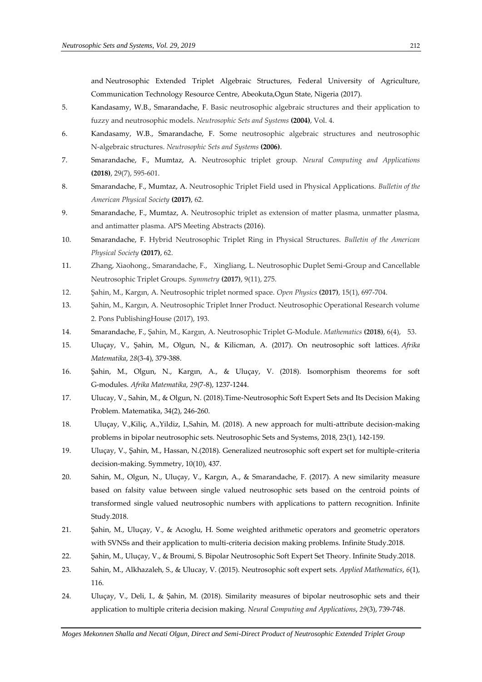and Neutrosophic Extended Triplet Algebraic Structures, Federal University of Agriculture, Communication Technology Resource Centre, Abeokuta,Ogun State, Nigeria (2017).

- 5. Kandasamy, W.B., Smarandache, F. Basic neutrosophic algebraic structures and their application to fuzzy and neutrosophic models. *Neutrosophic Sets and Systems* **(2004)**, Vol. 4.
- 6. Kandasamy, W.B., Smarandache, F. Some neutrosophic algebraic structures and neutrosophic N-algebraic structures. *Neutrosophic Sets and Systems* **(2006)**.
- 7. Smarandache, F., Mumtaz, A. Neutrosophic triplet group. *Neural Computing and Applications* **(2018)**, 29(7), 595-601.
- 8. Smarandache, F., Mumtaz, A. Neutrosophic Triplet Field used in Physical Applications. *Bulletin of the American Physical Society* **(2017)**, 62.
- 9. Smarandache, F., Mumtaz, A. Neutrosophic triplet as extension of matter plasma, unmatter plasma, and antimatter plasma. APS Meeting Abstracts (2016).
- 10. Smarandache, F. Hybrid Neutrosophic Triplet Ring in Physical Structures. *Bulletin of the American Physical Society* **(2017)**, 62.
- 11. Zhang, Xiaohong., Smarandache, F., Xingliang, L. Neutrosophic Duplet Semi-Group and Cancellable Neutrosophic Triplet Groups. *Symmetry* **(2017)**, 9(11), 275.
- 12. Şahin, M., Kargın, A. Neutrosophic triplet normed space. *Open Physics* **(2017)**, 15(1), 697-704.
- 13. Şahin, M., Kargın, A. Neutrosophic Triplet Inner Product. Neutrosophic Operational Research volume 2. Pons PublishingHouse (2017), 193.
- 14. Smarandache, F., Şahin, M., Kargın, A. Neutrosophic Triplet G-Module. *Mathematics* **(2018)**, 6(4), 53.
- 15. Uluçay, V., Şahin, M., Olgun, N., & Kilicman, A. (2017). On neutrosophic soft lattices. *Afrika Matematika*, *28*(3-4), 379-388.
- 16. Şahin, M., Olgun, N., Kargın, A., & Uluçay, V. (2018). Isomorphism theorems for soft G-modules. *Afrika Matematika*, *29*(7-8), 1237-1244.
- 17. Ulucay, V., Sahin, M., & Olgun, N. (2018).Time-Neutrosophic Soft Expert Sets and Its Decision Making Problem. Matematika, 34(2), 246-260.
- 18. Uluçay, V.,Kiliç, A.,Yildiz, I.,Sahin, M. (2018). A new approach for multi-attribute decision-making problems in bipolar neutrosophic sets. Neutrosophic Sets and Systems, 2018, 23(1), 142-159.
- 19. Uluçay, V., Şahin, M., Hassan, N.(2018). Generalized neutrosophic soft expert set for multiple-criteria decision-making. Symmetry, 10(10), 437.
- 20. Sahin, M., Olgun, N., Uluçay, V., Kargın, A., & Smarandache, F. (2017). A new similarity measure based on falsity value between single valued neutrosophic sets based on the centroid points of transformed single valued neutrosophic numbers with applications to pattern recognition. Infinite Study.2018.
- 21. Şahin, M., Uluçay, V., & Acıoglu, H. Some weighted arithmetic operators and geometric operators with SVNSs and their application to multi-criteria decision making problems. Infinite Study.2018.
- 22. Şahin, M., Uluçay, V., & Broumi, S. Bipolar Neutrosophic Soft Expert Set Theory. Infinite Study.2018.
- 23. Sahin, M., Alkhazaleh, S., & Ulucay, V. (2015). Neutrosophic soft expert sets. *Applied Mathematics*, *6*(1), 116.
- 24. Uluçay, V., Deli, I., & Şahin, M. (2018). Similarity measures of bipolar neutrosophic sets and their application to multiple criteria decision making. *Neural Computing and Applications*, *29*(3), 739-748.

*Moges Mekonnen Shalla and Necati Olgun, Direct and Semi-Direct Product of Neutrosophic Extended Triplet Group*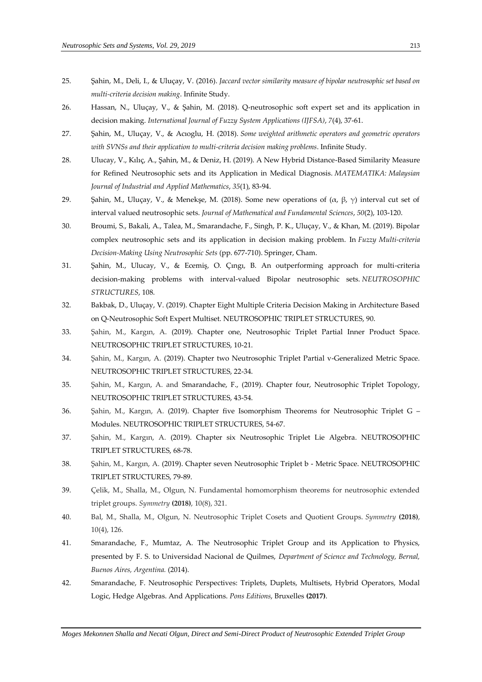- 25. Şahin, M., Deli, I., & Uluçay, V. (2016). *Jaccard vector similarity measure of bipolar neutrosophic set based on multi-criteria decision making*. Infinite Study.
- 26. Hassan, N., Uluçay, V., & Şahin, M. (2018). Q-neutrosophic soft expert set and its application in decision making. *International Journal of Fuzzy System Applications (IJFSA)*, *7*(4), 37-61.
- 27. Şahin, M., Uluçay, V., & Acıoglu, H. (2018). *Some weighted arithmetic operators and geometric operators with SVNSs and their application to multi-criteria decision making problems*. Infinite Study.
- 28. Ulucay, V., Kılıç, A., Şahin, M., & Deniz, H. (2019). A New Hybrid Distance-Based Similarity Measure for Refined Neutrosophic sets and its Application in Medical Diagnosis. *MATEMATIKA: Malaysian Journal of Industrial and Applied Mathematics*, *35*(1), 83-94.
- 29. Şahin, M., Uluçay, V., & Menekşe, M. (2018). Some new operations of  $(α, β, γ)$  interval cut set of interval valued neutrosophic sets. *Journal of Mathematical and Fundamental Sciences*, *50*(2), 103-120.
- 30. Broumi, S., Bakali, A., Talea, M., Smarandache, F., Singh, P. K., Uluçay, V., & Khan, M. (2019). Bipolar complex neutrosophic sets and its application in decision making problem. In *Fuzzy Multi-criteria Decision-Making Using Neutrosophic Sets* (pp. 677-710). Springer, Cham.
- 31. Şahin, M., Ulucay, V., & Ecemiş, O. Çıngı, B. An outperforming approach for multi-criteria decision-making problems with interval-valued Bipolar neutrosophic sets. *NEUTROSOPHIC STRUCTURES*, 108.
- 32. Bakbak, D., Uluçay, V. (2019). Chapter Eight Multiple Criteria Decision Making in Architecture Based on Q-Neutrosophic Soft Expert Multiset. NEUTROSOPHIC TRIPLET STRUCTURES, 90.
- 33. Şahin, M., Kargın, A. (2019). Chapter one, Neutrosophic Triplet Partial Inner Product Space. NEUTROSOPHIC TRIPLET STRUCTURES, 10-21.
- 34. Şahin, M., Kargın, A. (2019). Chapter two Neutrosophic Triplet Partial v-Generalized Metric Space. NEUTROSOPHIC TRIPLET STRUCTURES, 22-34.
- 35. Şahin, M., Kargın, A. and Smarandache, F., (2019). Chapter four, Neutrosophic Triplet Topology, NEUTROSOPHIC TRIPLET STRUCTURES, 43-54.
- 36. Şahin, M., Kargın, A. (2019). Chapter five Isomorphism Theorems for Neutrosophic Triplet G Modules. NEUTROSOPHIC TRIPLET STRUCTURES, 54-67.
- 37. Şahin, M., Kargın, A. (2019). Chapter six Neutrosophic Triplet Lie Algebra. NEUTROSOPHIC TRIPLET STRUCTURES, 68-78.
- 38. Şahin, M., Kargın, A. (2019). Chapter seven Neutrosophic Triplet b Metric Space. NEUTROSOPHIC TRIPLET STRUCTURES, 79-89.
- 39. Çelik, M., Shalla, M., Olgun, N. Fundamental homomorphism theorems for neutrosophic extended triplet groups. *Symmetry* **(2018)**, 10(8), 321.
- 40. Bal, M., Shalla, M., Olgun, N. Neutrosophic Triplet Cosets and Quotient Groups. *Symmetry* **(2018)**, 10(4), 126.
- 41. Smarandache, F., Mumtaz, A. The Neutrosophic Triplet Group and its Application to Physics, presented by F. S. to Universidad Nacional de Quilmes, *Department of Science and Technology, Bernal, Buenos Aires, Argentina.* (2014).
- 42. Smarandache, F. Neutrosophic Perspectives: Triplets, Duplets, Multisets, Hybrid Operators, Modal Logic, Hedge Algebras. And Applications. *Pons Editions*, Bruxelles **(2017)**.

*Moges Mekonnen Shalla and Necati Olgun, Direct and Semi-Direct Product of Neutrosophic Extended Triplet Group*